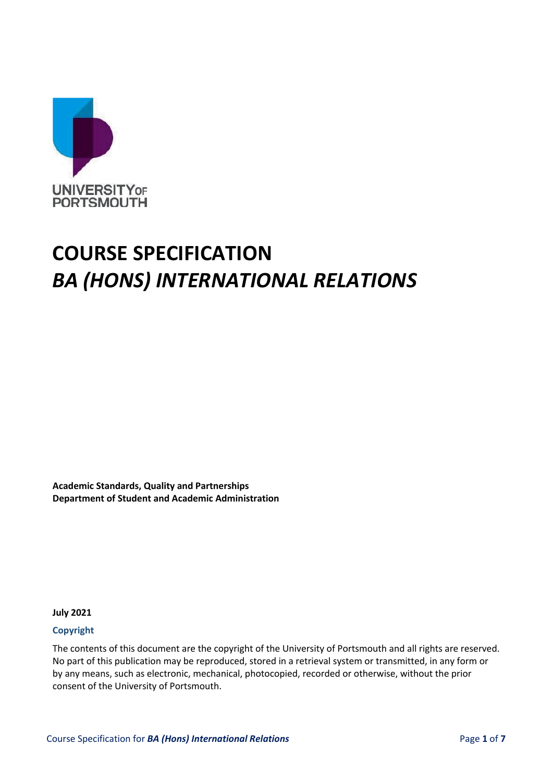

# **COURSE SPECIFICATION** *BA (HONS) INTERNATIONAL RELATIONS*

**Academic Standards, Quality and Partnerships Department of Student and Academic Administration**

**July 2021** 

#### **Copyright**

The contents of this document are the copyright of the University of Portsmouth and all rights are reserved. No part of this publication may be reproduced, stored in a retrieval system or transmitted, in any form or by any means, such as electronic, mechanical, photocopied, recorded or otherwise, without the prior consent of the University of Portsmouth.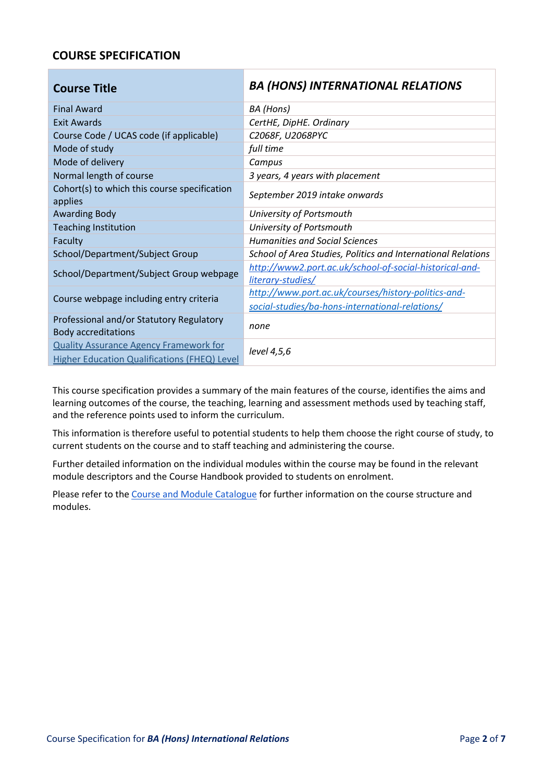# **COURSE SPECIFICATION**

| <b>Course Title</b>                                                    | <b>BA (HONS) INTERNATIONAL RELATIONS</b>                                     |  |
|------------------------------------------------------------------------|------------------------------------------------------------------------------|--|
| <b>Final Award</b>                                                     | BA (Hons)                                                                    |  |
| <b>Exit Awards</b>                                                     | CertHE, DipHE. Ordinary                                                      |  |
| Course Code / UCAS code (if applicable)                                | C2068F, U2068PYC                                                             |  |
| Mode of study                                                          | full time                                                                    |  |
| Mode of delivery                                                       | Campus                                                                       |  |
| Normal length of course                                                | 3 years, 4 years with placement                                              |  |
| Cohort(s) to which this course specification<br>applies                | September 2019 intake onwards                                                |  |
| <b>Awarding Body</b>                                                   | University of Portsmouth                                                     |  |
| <b>Teaching Institution</b>                                            | University of Portsmouth                                                     |  |
| Faculty                                                                | <b>Humanities and Social Sciences</b>                                        |  |
| School/Department/Subject Group                                        | School of Area Studies, Politics and International Relations                 |  |
| School/Department/Subject Group webpage                                | http://www2.port.ac.uk/school-of-social-historical-and-<br>literary-studies/ |  |
|                                                                        | http://www.port.ac.uk/courses/history-politics-and-                          |  |
| Course webpage including entry criteria                                | social-studies/ba-hons-international-relations/                              |  |
| Professional and/or Statutory Regulatory<br><b>Body accreditations</b> | none                                                                         |  |
| <b>Quality Assurance Agency Framework for</b>                          | level 4,5,6                                                                  |  |
| Higher Education Qualifications (FHEQ) Level                           |                                                                              |  |

This course specification provides a summary of the main features of the course, identifies the aims and learning outcomes of the course, the teaching, learning and assessment methods used by teaching staff, and the reference points used to inform the curriculum.

This information is therefore useful to potential students to help them choose the right course of study, to current students on the course and to staff teaching and administering the course.

Further detailed information on the individual modules within the course may be found in the relevant module descriptors and the Course Handbook provided to students on enrolment.

Please refer to th[e Course and Module Catalogue](https://course-module-catalog.port.ac.uk/#/welcome) for further information on the course structure and modules.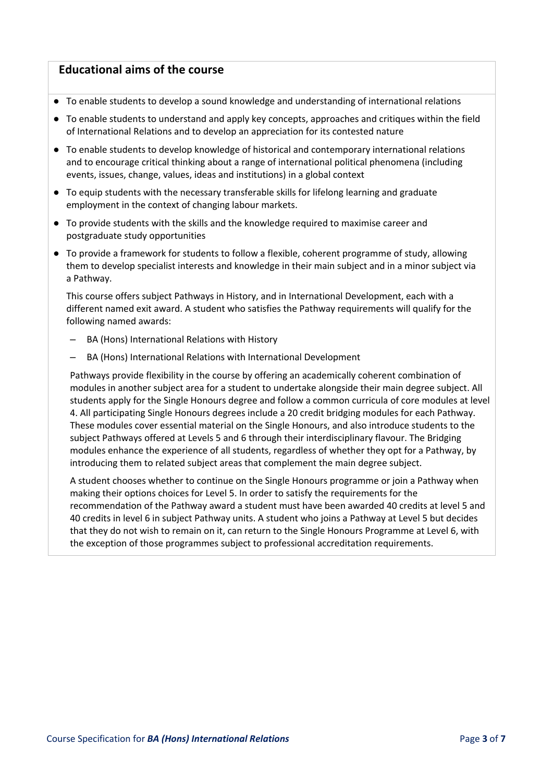## **Educational aims of the course**

- To enable students to develop a sound knowledge and understanding of international relations
- To enable students to understand and apply key concepts, approaches and critiques within the field of International Relations and to develop an appreciation for its contested nature
- To enable students to develop knowledge of historical and contemporary international relations and to encourage critical thinking about a range of international political phenomena (including events, issues, change, values, ideas and institutions) in a global context
- To equip students with the necessary transferable skills for lifelong learning and graduate employment in the context of changing labour markets.
- To provide students with the skills and the knowledge required to maximise career and postgraduate study opportunities
- To provide a framework for students to follow a flexible, coherent programme of study, allowing them to develop specialist interests and knowledge in their main subject and in a minor subject via a Pathway.

This course offers subject Pathways in History, and in International Development, each with a different named exit award. A student who satisfies the Pathway requirements will qualify for the following named awards:

- BA (Hons) International Relations with History
- BA (Hons) International Relations with International Development

Pathways provide flexibility in the course by offering an academically coherent combination of modules in another subject area for a student to undertake alongside their main degree subject. All students apply for the Single Honours degree and follow a common curricula of core modules at level 4. All participating Single Honours degrees include a 20 credit bridging modules for each Pathway. These modules cover essential material on the Single Honours, and also introduce students to the subject Pathways offered at Levels 5 and 6 through their interdisciplinary flavour. The Bridging modules enhance the experience of all students, regardless of whether they opt for a Pathway, by introducing them to related subject areas that complement the main degree subject.

A student chooses whether to continue on the Single Honours programme or join a Pathway when making their options choices for Level 5. In order to satisfy the requirements for the recommendation of the Pathway award a student must have been awarded 40 credits at level 5 and 40 credits in level 6 in subject Pathway units. A student who joins a Pathway at Level 5 but decides that they do not wish to remain on it, can return to the Single Honours Programme at Level 6, with the exception of those programmes subject to professional accreditation requirements.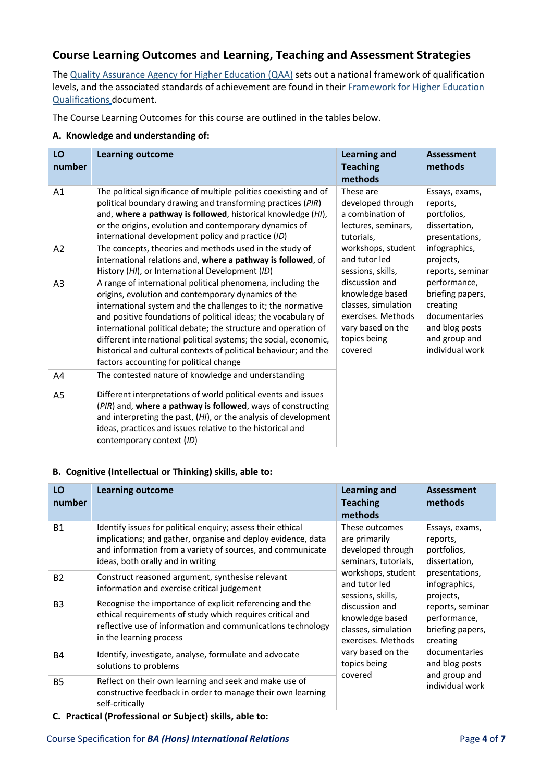# **Course Learning Outcomes and Learning, Teaching and Assessment Strategies**

Th[e Quality Assurance Agency for Higher Education \(QAA\)](http://www.qaa.ac.uk/en) sets out a national framework of qualification levels, and the associated standards of achievement are found in their [Framework for Higher Education](https://www.qaa.ac.uk/en/quality-code/qualifications-and-credit-frameworks) [Qualifications](http://www.qaa.ac.uk/en/Publications/Documents/qualifications-frameworks.pdf) [d](http://www.qaa.ac.uk/en/Publications/Documents/qualifications-frameworks.pdf)ocument.

The Course Learning Outcomes for this course are outlined in the tables below.

#### **A. Knowledge and understanding of:**

| LO<br>number   | <b>Learning outcome</b>                                                                                                                                                                                                                                                                                                                                                                                                                                                                                   | <b>Learning and</b><br><b>Teaching</b><br>methods                                                                              | <b>Assessment</b><br>methods                                                                                        |
|----------------|-----------------------------------------------------------------------------------------------------------------------------------------------------------------------------------------------------------------------------------------------------------------------------------------------------------------------------------------------------------------------------------------------------------------------------------------------------------------------------------------------------------|--------------------------------------------------------------------------------------------------------------------------------|---------------------------------------------------------------------------------------------------------------------|
| A1             | The political significance of multiple polities coexisting and of<br>political boundary drawing and transforming practices (PIR)<br>and, where a pathway is followed, historical knowledge (HI),<br>or the origins, evolution and contemporary dynamics of<br>international development policy and practice (ID)                                                                                                                                                                                          | These are<br>developed through<br>a combination of<br>lectures, seminars,<br>tutorials,                                        | Essays, exams,<br>reports,<br>portfolios,<br>dissertation,<br>presentations,                                        |
| A2             | The concepts, theories and methods used in the study of<br>international relations and, where a pathway is followed, of<br>History (HI), or International Development (ID)                                                                                                                                                                                                                                                                                                                                | workshops, student<br>and tutor led<br>sessions, skills,                                                                       | infographics,<br>projects,<br>reports, seminar                                                                      |
| A <sub>3</sub> | A range of international political phenomena, including the<br>origins, evolution and contemporary dynamics of the<br>international system and the challenges to it; the normative<br>and positive foundations of political ideas; the vocabulary of<br>international political debate; the structure and operation of<br>different international political systems; the social, economic,<br>historical and cultural contexts of political behaviour; and the<br>factors accounting for political change | discussion and<br>knowledge based<br>classes, simulation<br>exercises. Methods<br>vary based on the<br>topics being<br>covered | performance,<br>briefing papers,<br>creating<br>documentaries<br>and blog posts<br>and group and<br>individual work |
| A4             | The contested nature of knowledge and understanding                                                                                                                                                                                                                                                                                                                                                                                                                                                       |                                                                                                                                |                                                                                                                     |
| A <sub>5</sub> | Different interpretations of world political events and issues<br>(PIR) and, where a pathway is followed, ways of constructing<br>and interpreting the past, (HI), or the analysis of development<br>ideas, practices and issues relative to the historical and<br>contemporary context (ID)                                                                                                                                                                                                              |                                                                                                                                |                                                                                                                     |

#### **B. Cognitive (Intellectual or Thinking) skills, able to:**

| LO<br>number   | <b>Learning outcome</b>                                                                                                                                                                                                        | <b>Learning and</b><br><b>Teaching</b><br>methods                                                                                                                                                                                                                                                                                               | <b>Assessment</b><br>methods                         |
|----------------|--------------------------------------------------------------------------------------------------------------------------------------------------------------------------------------------------------------------------------|-------------------------------------------------------------------------------------------------------------------------------------------------------------------------------------------------------------------------------------------------------------------------------------------------------------------------------------------------|------------------------------------------------------|
| <b>B1</b>      | Identify issues for political enquiry; assess their ethical<br>implications; and gather, organise and deploy evidence, data<br>and information from a variety of sources, and communicate<br>ideas, both orally and in writing | These outcomes<br>are primarily<br>reports,<br>developed through<br>portfolios,<br>seminars, tutorials,<br>workshops, student<br>and tutor led<br>sessions, skills,<br>projects,<br>discussion and<br>knowledge based<br>classes, simulation<br>exercises. Methods<br>creating<br>vary based on the<br>topics being<br>and group and<br>covered | Essays, exams,<br>dissertation,                      |
| <b>B2</b>      | Construct reasoned argument, synthesise relevant<br>information and exercise critical judgement                                                                                                                                |                                                                                                                                                                                                                                                                                                                                                 | presentations,<br>infographics,                      |
| B <sub>3</sub> | Recognise the importance of explicit referencing and the<br>ethical requirements of study which requires critical and<br>reflective use of information and communications technology<br>in the learning process                |                                                                                                                                                                                                                                                                                                                                                 | reports, seminar<br>performance,<br>briefing papers, |
| <b>B4</b>      | Identify, investigate, analyse, formulate and advocate<br>solutions to problems                                                                                                                                                |                                                                                                                                                                                                                                                                                                                                                 | documentaries<br>and blog posts                      |
| <b>B5</b>      | Reflect on their own learning and seek and make use of<br>constructive feedback in order to manage their own learning<br>self-critically                                                                                       |                                                                                                                                                                                                                                                                                                                                                 | individual work                                      |

**C. Practical (Professional or Subject) skills, able to:**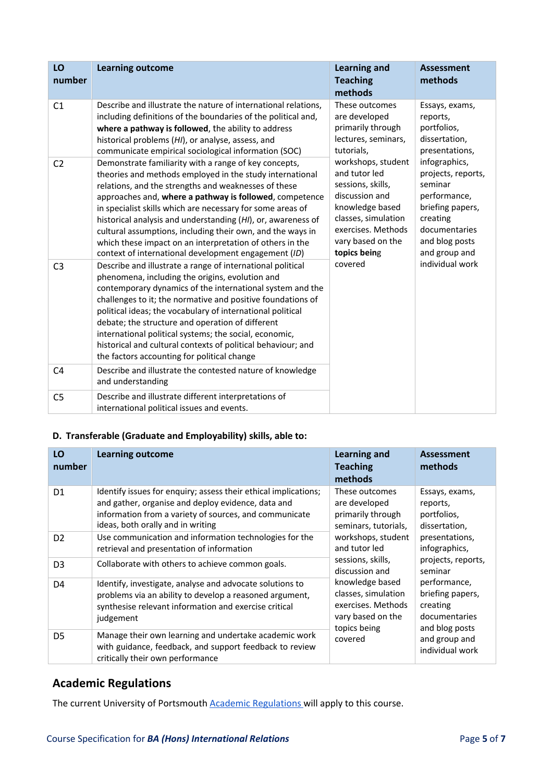| LO<br>number   | <b>Learning outcome</b>                                                                                                                                                                                                                                                                                                                                                                                                                                                                                                                              | <b>Learning and</b><br><b>Teaching</b><br>methods                                                                                                                               | <b>Assessment</b><br>methods                                                                                                                       |
|----------------|------------------------------------------------------------------------------------------------------------------------------------------------------------------------------------------------------------------------------------------------------------------------------------------------------------------------------------------------------------------------------------------------------------------------------------------------------------------------------------------------------------------------------------------------------|---------------------------------------------------------------------------------------------------------------------------------------------------------------------------------|----------------------------------------------------------------------------------------------------------------------------------------------------|
| C1             | Describe and illustrate the nature of international relations,<br>including definitions of the boundaries of the political and,<br>where a pathway is followed, the ability to address<br>historical problems (HI), or analyse, assess, and<br>communicate empirical sociological information (SOC)                                                                                                                                                                                                                                                  | These outcomes<br>are developed<br>primarily through<br>lectures, seminars,<br>tutorials,                                                                                       | Essays, exams,<br>reports,<br>portfolios,<br>dissertation,<br>presentations,                                                                       |
| C <sub>2</sub> | Demonstrate familiarity with a range of key concepts,<br>theories and methods employed in the study international<br>relations, and the strengths and weaknesses of these<br>approaches and, where a pathway is followed, competence<br>in specialist skills which are necessary for some areas of<br>historical analysis and understanding (HI), or, awareness of<br>cultural assumptions, including their own, and the ways in<br>which these impact on an interpretation of others in the<br>context of international development engagement (ID) | workshops, student<br>and tutor led<br>sessions, skills,<br>discussion and<br>knowledge based<br>classes, simulation<br>exercises. Methods<br>vary based on the<br>topics being | infographics,<br>projects, reports,<br>seminar<br>performance,<br>briefing papers,<br>creating<br>documentaries<br>and blog posts<br>and group and |
| C <sub>3</sub> | Describe and illustrate a range of international political<br>phenomena, including the origins, evolution and<br>contemporary dynamics of the international system and the<br>challenges to it; the normative and positive foundations of<br>political ideas; the vocabulary of international political<br>debate; the structure and operation of different<br>international political systems; the social, economic,<br>historical and cultural contexts of political behaviour; and<br>the factors accounting for political change                 | covered                                                                                                                                                                         | individual work                                                                                                                                    |
| C4             | Describe and illustrate the contested nature of knowledge<br>and understanding                                                                                                                                                                                                                                                                                                                                                                                                                                                                       |                                                                                                                                                                                 |                                                                                                                                                    |
| C <sub>5</sub> | Describe and illustrate different interpretations of<br>international political issues and events.                                                                                                                                                                                                                                                                                                                                                                                                                                                   |                                                                                                                                                                                 |                                                                                                                                                    |

## **D. Transferable (Graduate and Employability) skills, able to:**

| LO<br>number   | <b>Learning outcome</b>                                                                                                                                                                                              | <b>Learning and</b><br><b>Teaching</b><br>methods                                                                                                                                                                                                                                                           | <b>Assessment</b><br>methods                               |
|----------------|----------------------------------------------------------------------------------------------------------------------------------------------------------------------------------------------------------------------|-------------------------------------------------------------------------------------------------------------------------------------------------------------------------------------------------------------------------------------------------------------------------------------------------------------|------------------------------------------------------------|
| D <sub>1</sub> | Identify issues for enquiry; assess their ethical implications;<br>and gather, organise and deploy evidence, data and<br>information from a variety of sources, and communicate<br>ideas, both orally and in writing | These outcomes<br>are developed<br>primarily through<br>seminars, tutorials,                                                                                                                                                                                                                                | Essays, exams,<br>reports,<br>portfolios,<br>dissertation, |
| D <sub>2</sub> | Use communication and information technologies for the<br>retrieval and presentation of information                                                                                                                  | workshops, student<br>and tutor led                                                                                                                                                                                                                                                                         | presentations,<br>infographics,                            |
| D <sub>3</sub> | Collaborate with others to achieve common goals.                                                                                                                                                                     | sessions, skills,<br>projects, reports,<br>discussion and<br>seminar<br>performance,<br>knowledge based<br>classes, simulation<br>briefing papers,<br>exercises. Methods<br>creating<br>vary based on the<br>documentaries<br>topics being<br>and blog posts<br>and group and<br>covered<br>individual work |                                                            |
| D <sub>4</sub> | Identify, investigate, analyse and advocate solutions to<br>problems via an ability to develop a reasoned argument,<br>synthesise relevant information and exercise critical<br>judgement                            |                                                                                                                                                                                                                                                                                                             |                                                            |
| D <sub>5</sub> | Manage their own learning and undertake academic work<br>with guidance, feedback, and support feedback to review<br>critically their own performance                                                                 |                                                                                                                                                                                                                                                                                                             |                                                            |

# **Academic Regulations**

The current University of Portsmouth **Academic Regulations** will apply to this course.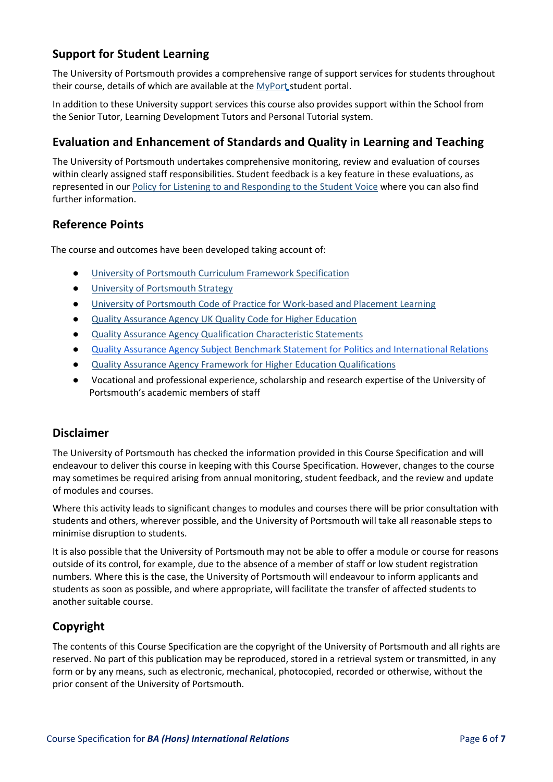# **Support for Student Learning**

The University of Portsmouth provides a comprehensive range of support services for students throughout their course, details of which are available at the [MyPort](http://myport.ac.uk/) student portal.

In addition to these University support services this course also provides support within the School from the Senior Tutor, Learning Development Tutors and Personal Tutorial system.

# **Evaluation and Enhancement of Standards and Quality in Learning and Teaching**

The University of Portsmouth undertakes comprehensive monitoring, review and evaluation of courses within clearly assigned staff responsibilities. Student feedback is a key feature in these evaluations, as represented in ou[r Policy for Listening to and Responding to the Student Voice](http://policies.docstore.port.ac.uk/policy-069.pdf) [w](http://policies.docstore.port.ac.uk/policy-069.pdf)here you can also find further information.

# **Reference Points**

The course and outcomes have been developed taking account of:

- [University of Portsmouth Curriculum Framework Specification](http://policies.docstore.port.ac.uk/policy-217.pdf?_ga=2.262170252.1863271531.1625471462-353504235.1613498042)
- [University of Portsmouth Strategy](https://www.port.ac.uk/about-us/our-ambition/our-strategy)
- [University of Portsmouth Code of Practice for Work-based and Placement Learning](http://policies.docstore.port.ac.uk/policy-151.pdf)
- [Quality Assurance Agency UK Quality Code for Higher Education](https://www.qaa.ac.uk/quality-code)
- [Quality Assurance Agency Qualification Characteristic Statements](https://www.qaa.ac.uk/quality-code/characteristics-statements)
- [Quality Assurance Agency Subject Benchmark Statement for Politics and International Relations](https://www.qaa.ac.uk/docs/qaa/subject-benchmark-statements/subject-benchmark-statement-politics-and-international-relations.pdf?sfvrsn=73e2cb81_5)
- [Quality Assurance Agency Framework for Higher Education Qualifications](https://www.qaa.ac.uk/quality-code/qualifications-frameworks)
- Vocational and professional experience, scholarship and research expertise of the University of Portsmouth's academic members of staff

### **Disclaimer**

The University of Portsmouth has checked the information provided in this Course Specification and will endeavour to deliver this course in keeping with this Course Specification. However, changes to the course may sometimes be required arising from annual monitoring, student feedback, and the review and update of modules and courses.

Where this activity leads to significant changes to modules and courses there will be prior consultation with students and others, wherever possible, and the University of Portsmouth will take all reasonable steps to minimise disruption to students.

It is also possible that the University of Portsmouth may not be able to offer a module or course for reasons outside of its control, for example, due to the absence of a member of staff or low student registration numbers. Where this is the case, the University of Portsmouth will endeavour to inform applicants and students as soon as possible, and where appropriate, will facilitate the transfer of affected students to another suitable course.

# **Copyright**

The contents of this Course Specification are the copyright of the University of Portsmouth and all rights are reserved. No part of this publication may be reproduced, stored in a retrieval system or transmitted, in any form or by any means, such as electronic, mechanical, photocopied, recorded or otherwise, without the prior consent of the University of Portsmouth.